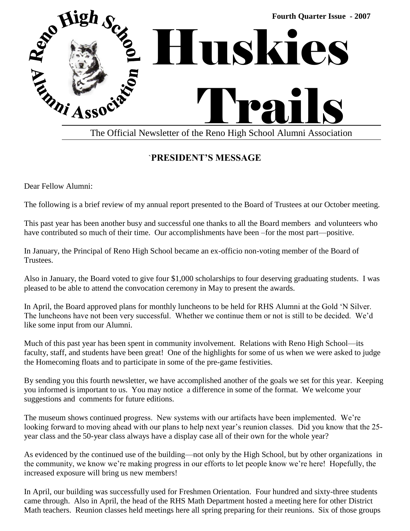

# `**PRESIDENT'S MESSAGE**

Dear Fellow Alumni:

The following is a brief review of my annual report presented to the Board of Trustees at our October meeting.

This past year has been another busy and successful one thanks to all the Board members and volunteers who have contributed so much of their time. Our accomplishments have been –for the most part—positive.

In January, the Principal of Reno High School became an ex-officio non-voting member of the Board of Trustees.

Also in January, the Board voted to give four \$1,000 scholarships to four deserving graduating students. I was pleased to be able to attend the convocation ceremony in May to present the awards.

In April, the Board approved plans for monthly luncheons to be held for RHS Alumni at the Gold 'N Silver. The luncheons have not been very successful. Whether we continue them or not is still to be decided. We'd like some input from our Alumni.

Much of this past year has been spent in community involvement. Relations with Reno High School—its faculty, staff, and students have been great! One of the highlights for some of us when we were asked to judge the Homecoming floats and to participate in some of the pre-game festivities.

By sending you this fourth newsletter, we have accomplished another of the goals we set for this year. Keeping you informed is important to us. You may notice a difference in some of the format. We welcome your suggestions and comments for future editions.

The museum shows continued progress. New systems with our artifacts have been implemented. We're looking forward to moving ahead with our plans to help next year's reunion classes. Did you know that the 25 year class and the 50-year class always have a display case all of their own for the whole year?

As evidenced by the continued use of the building—not only by the High School, but by other organizations in the community, we know we're making progress in our efforts to let people know we're here! Hopefully, the increased exposure will bring us new members!

In April, our building was successfully used for Freshmen Orientation. Four hundred and sixty-three students came through. Also in April, the head of the RHS Math Department hosted a meeting here for other District Math teachers. Reunion classes held meetings here all spring preparing for their reunions. Six of those groups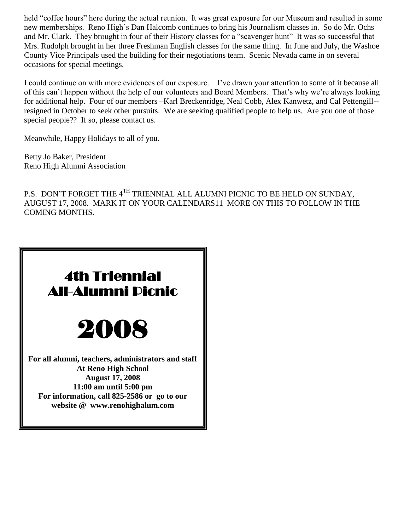held "coffee hours" here during the actual reunion. It was great exposure for our Museum and resulted in some new memberships. Reno High's Dan Halcomb continues to bring his Journalism classes in. So do Mr. Ochs and Mr. Clark. They brought in four of their History classes for a "scavenger hunt" It was so successful that Mrs. Rudolph brought in her three Freshman English classes for the same thing. In June and July, the Washoe County Vice Principals used the building for their negotiations team. Scenic Nevada came in on several occasions for special meetings.

I could continue on with more evidences of our exposure. I've drawn your attention to some of it because all of this can't happen without the help of our volunteers and Board Members. That's why we're always looking for additional help. Four of our members –Karl Breckenridge, Neal Cobb, Alex Kanwetz, and Cal Pettengill- resigned in October to seek other pursuits. We are seeking qualified people to help us. Are you one of those special people?? If so, please contact us.

Meanwhile, Happy Holidays to all of you.

Betty Jo Baker, President Reno High Alumni Association

P.S. DON'T FORGET THE 4<sup>TH</sup> TRIENNIAL ALL ALUMNI PICNIC TO BE HELD ON SUNDAY, AUGUST 17, 2008. MARK IT ON YOUR CALENDARS11 MORE ON THIS TO FOLLOW IN THE COMING MONTHS.

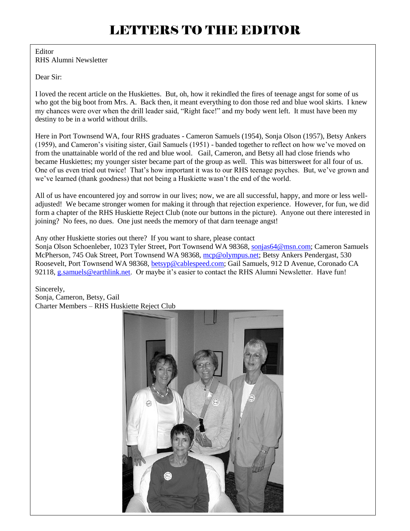#### Editor RHS Alumni Newsletter

Dear Sir:

I loved the recent article on the Huskiettes. But, oh, how it rekindled the fires of teenage angst for some of us who got the big boot from Mrs. A. Back then, it meant everything to don those red and blue wool skirts. I knew my chances were over when the drill leader said, "Right face!" and my body went left. It must have been my destiny to be in a world without drills.

Here in Port Townsend WA, four RHS graduates - Cameron Samuels (1954), Sonja Olson (1957), Betsy Ankers (1959), and Cameron's visiting sister, Gail Samuels (1951) - banded together to reflect on how we've moved on from the unattainable world of the red and blue wool. Gail, Cameron, and Betsy all had close friends who became Huskiettes; my younger sister became part of the group as well. This was bittersweet for all four of us. One of us even tried out twice! That's how important it was to our RHS teenage psyches. But, we've grown and we've learned (thank goodness) that not being a Huskiette wasn't the end of the world.

All of us have encountered joy and sorrow in our lives; now, we are all successful, happy, and more or less welladjusted! We became stronger women for making it through that rejection experience. However, for fun, we did form a chapter of the RHS Huskiette Reject Club (note our buttons in the picture). Anyone out there interested in joining? No fees, no dues. One just needs the memory of that darn teenage angst!

Any other Huskiette stories out there? If you want to share, please contact

Sonja Olson Schoenleber, 1023 Tyler Street, Port Townsend WA 98368, [sonjas64@msn.com;](mailto:sonjas64@msn.com) Cameron Samuels McPherson, 745 Oak Street, Port Townsend WA 98368, [mcp@olympus.net;](mailto:mcp@olympus.net) Betsy Ankers Pendergast, 530 Roosevelt, Port Townsend WA 98368, [betsyp@cablespeed.com;](mailto:betsyp@cablespeed.com) Gail Samuels, 912 D Avenue, Coronado CA 92118, [g.samuels@earthlink.net.](mailto:g.samuels@earthlink.net) Or maybe it's easier to contact the RHS Alumni Newsletter. Have fun!

Sincerely, Sonja, Cameron, Betsy, Gail Charter Members – RHS Huskiette Reject Club

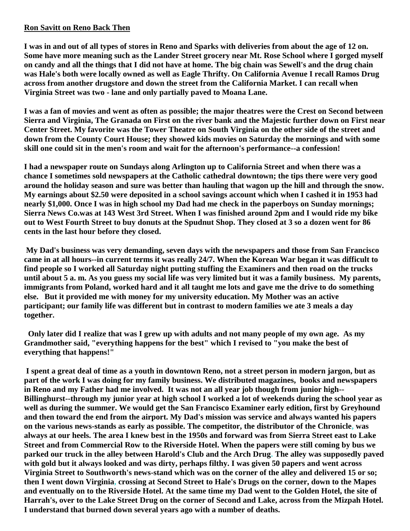## **Ron Savitt on Reno Back Then**

**I was in and out of all types of stores in Reno and Sparks with deliveries from about the age of 12 on. Some have more meaning such as the Lander Street grocery near Mt. Rose School where I gorged myself on candy and all the things that I did not have at home. The big chain was Sewell's and the drug chain was Hale's both were locally owned as well as Eagle Thrifty. On California Avenue I recall Ramos Drug across from another drugstore and down the street from the California Market. I can recall when Virginia Street was two - lane and only partially paved to Moana Lane.**

**I was a fan of movies and went as often as possible; the major theatres were the Crest on Second between Sierra and Virginia, The Granada on First on the river bank and the Majestic further down on First near Center Street. My favorite was the Tower Theatre on South Virginia on the other side of the street and down from the County Court House; they showed kids movies on Saturday the mornings and with some skill one could sit in the men's room and wait for the afternoon's performance--a confession!**

**I had a newspaper route on Sundays along Arlington up to California Street and when there was a chance I sometimes sold newspapers at the Catholic cathedral downtown; the tips there were very good around the holiday season and sure was better than hauling that wagon up the hill and through the snow. My earnings about \$2.50 were deposited in a school savings account which when I cashed it in 1953 had nearly \$1,000. Once I was in high school my Dad had me check in the paperboys on Sunday mornings; Sierra News Co.was at 143 West 3rd Street. When I was finished around 2pm and I would ride my bike out to West Fourth Street to buy donuts at the Spudnut Shop. They closed at 3 so a dozen went for 86 cents in the last hour before they closed.**

**My Dad's business was very demanding, seven days with the newspapers and those from San Francisco came in at all hours--in current terms it was really 24/7. When the Korean War began it was difficult to find people so I worked all Saturday night putting stuffing the Examiners and then road on the trucks until about 5 a. m. As you guess my social life was very limited but it was a family business. My parents, immigrants from Poland, worked hard and it all taught me lots and gave me the drive to do something else. But it provided me with money for my university education. My Mother was an active participant; our family life was different but in contrast to modern families we ate 3 meals a day together.** 

**Only later did I realize that was I grew up with adults and not many people of my own age. As my Grandmother said, "everything happens for the best" which I revised to "you make the best of everything that happens!"**

**I spent a great deal of time as a youth in downtown Reno, not a street person in modern jargon, but as part of the work I was doing for my family business. We distributed magazines, books and newspapers in Reno and my Father had me involved. It was not an all year job though from junior high-- Billinghurst--through my junior year at high school I worked a lot of weekends during the school year as well as during the summer. We would get the San Francisco Examiner early edition, first by Greyhound and then toward the end from the airport. My Dad's mission was service and always wanted his papers on the various news-stands as early as possible. The competitor, the distributor of the Chronicle, was always at our heels. The area I knew best in the 1950s and forward was from Sierra Street east to Lake Street and from Commercial Row to the Riverside Hotel. When the papers were still coming by bus we parked our truck in the alley between Harold's Club and the Arch Drug. The alley was supposedly paved with gold but it always looked and was dirty, perhaps filthy. I was given 50 papers and went across Virginia Street to Southworth's news-stand which was on the corner of the alley and delivered 15 or so; then I went down Virginia, crossing at Second Street to Hale's Drugs on the corner, down to the Mapes and eventually on to the Riverside Hotel. At the same time my Dad went to the Golden Hotel, the site of Harrah's, over to the Lake Street Drug on the corner of Second and Lake, across from the Mizpah Hotel. I understand that burned down several years ago with a number of deaths.**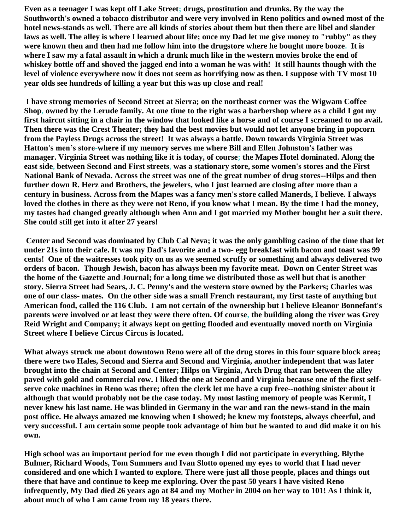**Even as a teenager I was kept off Lake Street; drugs, prostitution and drunks. By the way the Southworth's owned a tobacco distributor and were very involved in Reno politics and owned most of the hotel news-stands as well. There are all kinds of stories about them but then there are libel and slander laws as well. The alley is where I learned about life; once my Dad let me give money to "rubby" as they were known then and then had me follow him into the drugstore where he bought more booze. It is where I saw my a fatal assault in which a drunk much like in the western movies broke the end of whiskey bottle off and shoved the jagged end into a woman he was with! It still haunts though with the level of violence everywhere now it does not seem as horrifying now as then. I suppose with TV most 10 year olds see hundreds of killing a year but this was up close and real!**

**I have strong memories of Second Street at Sierra; on the northeast corner was the Wigwam Coffee Shop, owned by the Lerude family. At one time to the right was a barbershop where as a child I got my first haircut sitting in a chair in the window that looked like a horse and of course I screamed to no avail. Then there was the Crest Theater; they had the best movies but would not let anyone bring in popcorn from the Payless Drugs across the street! It was always a battle. Down towards Virginia Street was Hatton's men's store-where if my memory serves me where Bill and Ellen Johnston's father was manager. Virginia Street was nothing like it is today, of course; the Mapes Hotel dominated. Along the east side, between Second and First streets, was a stationary store, some women's stores and the First National Bank of Nevada. Across the street was one of the great number of drug stores--Hilps and then further down R. Herz and Brothers, the jewelers, who I just learned are closing after more than a century in business. Across from the Mapes was a fancy men's store called Manerds, I believe. I always loved the clothes in there as they were not Reno, if you know what I mean. By the time I had the money, my tastes had changed greatly although when Ann and I got married my Mother bought her a suit there. She could still get into it after 27 years!**

**Center and Second was dominated by Club Cal Neva; it was the only gambling casino of the time that let under 21s into their cafe. It was my Dad's favorite and a two- egg breakfast with bacon and toast was 99 cents! One of the waitresses took pity on us as we seemed scruffy or something and always delivered two orders of bacon. Though Jewish, bacon has always been my favorite meat. Down on Center Street was the home of the Gazette and Journal; for a long time we distributed those as well but that is another story. Sierra Street had Sears, J. C. Penny's and the western store owned by the Parkers; Charles was one of our class- mates. On the other side was a small French restaurant, my first taste of anything but American food, called the 116 Club. I am not certain of the ownership but I believe Eleanor Bonnefant's parents were involved or at least they were there often. Of course, the building along the river was Grey Reid Wright and Company; it always kept on getting flooded and eventually moved north on Virginia Street where I believe Circus Circus is located.**

**What always struck me about downtown Reno were all of the drug stores in this four square block area; there were two Hales, Second and Sierra and Second and Virginia, another independent that was later brought into the chain at Second and Center; Hilps on Virginia, Arch Drug that ran between the alley paved with gold and commercial row. I liked the one at Second and Virginia because one of the first selfserve coke machines in Reno was there; often the clerk let me have a cup free--nothing sinister about it although that would probably not be the case today. My most lasting memory of people was Kermit, I never knew his last name. He was blinded in Germany in the war and ran the news-stand in the main post office. He always amazed me knowing when I showed; he knew my footsteps, always cheerful, and very successful. I am certain some people took advantage of him but he wanted to and did make it on his own.**

**High school was an important period for me even though I did not participate in everything. Blythe Bulmer, Richard Woods, Tom Summers and Ivan Slotto opened my eyes to world that I had never considered and one which I wanted to explore. There were just all those people, places and things out there that have and continue to keep me exploring. Over the past 50 years I have visited Reno infrequently, My Dad died 26 years ago at 84 and my Mother in 2004 on her way to 101! As I think it, about much of who I am came from my 18 years there.**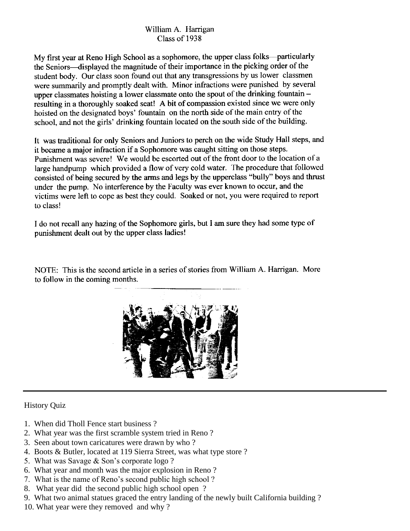## William A. Harrigan Class of 1938

My first year at Reno High School as a sophomore, the upper class folks-particularly the Seniors-displayed the magnitude of their importance in the picking order of the student body. Our class soon found out that any transgressions by us lower classmen were summarily and promptly dealt with. Minor infractions were punished by several upper class the solution as lower class mate onto the spout of the drinking fountain  $$ resulting in a thoroughly soaked seat! A bit of compassion existed since we were only hoisted on the designated boys' fountain on the north side of the main entry of the school, and not the girls' drinking fountain located on the south side of the building.

It was traditional for only Seniors and Juniors to perch on the wide Study Hall steps, and it became a major infraction if a Sophomore was caught sitting on those steps. Punishment was severe! We would be escorted out of the front door to the location of a large handpump which provided a flow of very cold water. The procedure that followed consisted of being secured by the arms and legs by the upperclass "bully" boys and thrust under the pump. No interference by the Faculty was ever known to occur, and the victims were left to cope as best they could. Soaked or not, you were required to report to class!

I do not recall any hazing of the Sophomore girls, but I am sure they had some type of punishment dealt out by the upper class ladies!

NOTE: This is the second article in a series of stories from William A. Harrigan. More to follow in the coming months.



### History Quiz

- 1. When did Tholl Fence start business ?
- 2. What year was the first scramble system tried in Reno ?
- 3. Seen about town caricatures were drawn by who ?
- 4. Boots & Butler, located at 119 Sierra Street, was what type store ?
- 5. What was Savage & Son's corporate logo ?
- 6. What year and month was the major explosion in Reno ?
- 7. What is the name of Reno's second public high school ?
- 8. What year did the second public high school open ?
- 9. What two animal statues graced the entry landing of the newly built California building ?
- 10. What year were they removed and why ?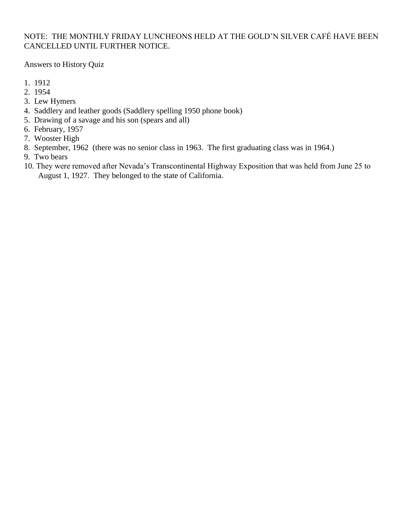## NOTE: THE MONTHLY FRIDAY LUNCHEONS HELD AT THE GOLD'N SILVER CAFÉ HAVE BEEN CANCELLED UNTIL FURTHER NOTICE.

Answers to History Quiz

- 1. 1912
- 2. 1954
- 3. Lew Hymers
- 4. Saddlery and leather goods (Saddlery spelling 1950 phone book)
- 5. Drawing of a savage and his son (spears and all)
- 6. February, 1957
- 7. Wooster High
- 8. September, 1962 (there was no senior class in 1963. The first graduating class was in 1964.)
- 9. Two bears
- 10. They were removed after Nevada's Transcontinental Highway Exposition that was held from June 25 to August 1, 1927. They belonged to the state of California.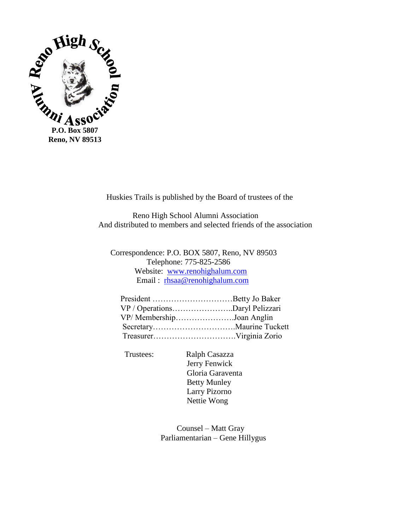

Huskies Trails is published by the Board of trustees of the

 Reno High School Alumni Association And distributed to members and selected friends of the association

 Correspondence: P.O. BOX 5807, Reno, NV 89503 Telephone: 775-825-2586 Website: [www.renohighalum.com](http://www.renohighalum.com/) Email : [rhsaa@renohighalum.com](mailto:rhsaa@renohighalum.com)

| VP / OperationsDaryl Pelizzari |  |
|--------------------------------|--|
| VP/ MembershipJoan Anglin      |  |
|                                |  |
|                                |  |

Trustees: Ralph Casazza

 Jerry Fenwick Gloria Garaventa Betty Munley Larry Pizorno Nettie Wong

 Counsel – Matt Gray Parliamentarian – Gene Hillygus